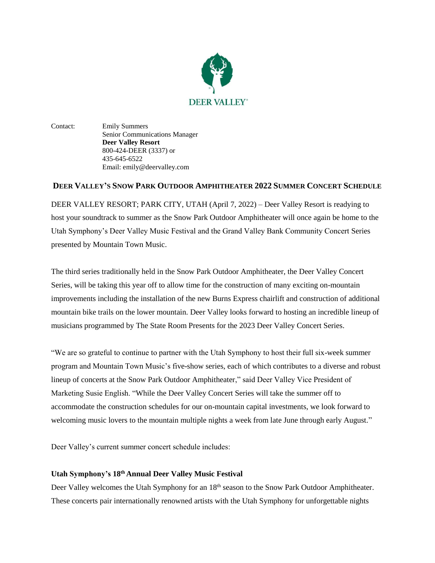

Contact: Emily Summers Senior Communications Manager **Deer Valley Resort** 800-424-DEER (3337) or 435-645-6522 Email: emily@deervalley.com

## **DEER VALLEY'S SNOW PARK OUTDOOR AMPHITHEATER 2022 SUMMER CONCERT SCHEDULE**

DEER VALLEY RESORT; PARK CITY, UTAH (April 7, 2022) – Deer Valley Resort is readying to host your soundtrack to summer as the Snow Park Outdoor Amphitheater will once again be home to the Utah Symphony's Deer Valley Music Festival and the Grand Valley Bank Community Concert Series presented by Mountain Town Music.

The third series traditionally held in the Snow Park Outdoor Amphitheater, the Deer Valley Concert Series, will be taking this year off to allow time for the construction of many exciting on-mountain improvements including the installation of the new Burns Express chairlift and construction of additional mountain bike trails on the lower mountain. Deer Valley looks forward to hosting an incredible lineup of musicians programmed by The State Room Presents for the 2023 Deer Valley Concert Series.

"We are so grateful to continue to partner with the Utah Symphony to host their full six-week summer program and Mountain Town Music's five-show series, each of which contributes to a diverse and robust lineup of concerts at the Snow Park Outdoor Amphitheater," said Deer Valley Vice President of Marketing Susie English. "While the Deer Valley Concert Series will take the summer off to accommodate the construction schedules for our on-mountain capital investments, we look forward to welcoming music lovers to the mountain multiple nights a week from late June through early August."

Deer Valley's current summer concert schedule includes:

## **Utah Symphony's 18th Annual Deer Valley Music Festival**

Deer Valley welcomes the Utah Symphony for an 18<sup>th</sup> season to the Snow Park Outdoor Amphitheater. These concerts pair internationally renowned artists with the Utah Symphony for unforgettable nights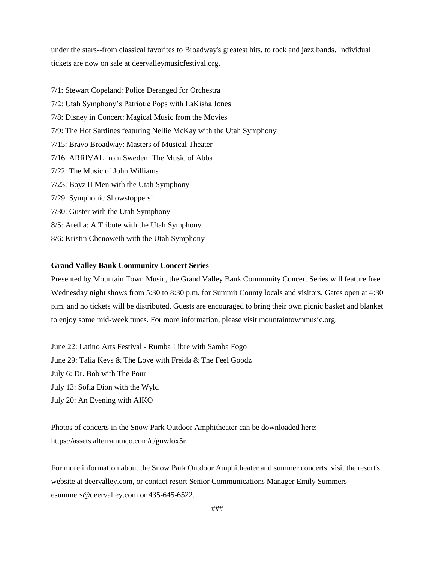under the stars--from classical favorites to Broadway's greatest hits, to rock and jazz bands. Individual tickets are now on sale at deervalleymusicfestival.org.

7/1: Stewart Copeland: Police Deranged for Orchestra 7/2: Utah Symphony's Patriotic Pops with LaKisha Jones 7/8: Disney in Concert: Magical Music from the Movies 7/9: The Hot Sardines featuring Nellie McKay with the Utah Symphony 7/15: Bravo Broadway: Masters of Musical Theater 7/16: ARRIVAL from Sweden: The Music of Abba 7/22: The Music of John Williams 7/23: Boyz II Men with the Utah Symphony 7/29: Symphonic Showstoppers! 7/30: Guster with the Utah Symphony 8/5: Aretha: A Tribute with the Utah Symphony 8/6: Kristin Chenoweth with the Utah Symphony

## **Grand Valley Bank Community Concert Series**

Presented by Mountain Town Music, the Grand Valley Bank Community Concert Series will feature free Wednesday night shows from 5:30 to 8:30 p.m. for Summit County locals and visitors. Gates open at 4:30 p.m. and no tickets will be distributed. Guests are encouraged to bring their own picnic basket and blanket to enjoy some mid-week tunes. For more information, please visit mountaintownmusic.org.

June 22: Latino Arts Festival - Rumba Libre with Samba Fogo June 29: Talia Keys & The Love with Freida & The Feel Goodz July 6: Dr. Bob with The Pour July 13: Sofia Dion with the Wyld July 20: An Evening with AIKO

Photos of concerts in the Snow Park Outdoor Amphitheater can be downloaded here: <https://assets.alterramtnco.com/c/gnwlox5r>

For more information about the Snow Park Outdoor Amphitheater and summer concerts, visit the resort's website at deervalley.com, or contact resort Senior Communications Manager Emily Summers esummers@deervalley.com or 435-645-6522.